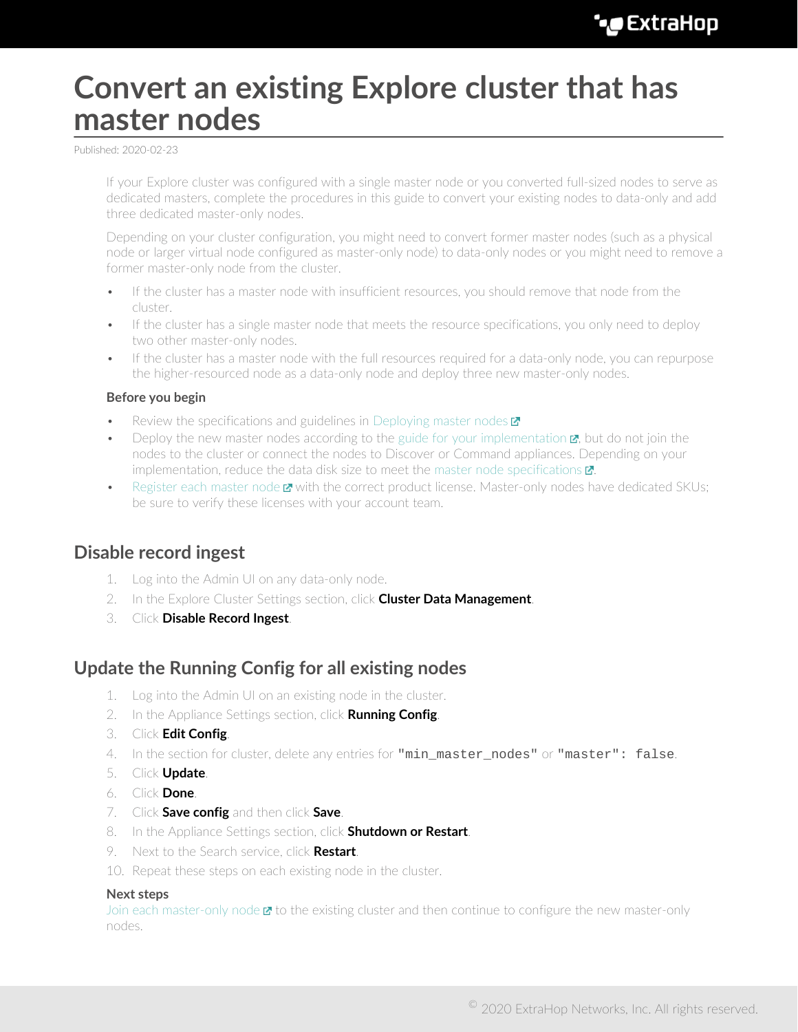# **Convert an existing Explore cluster that has master nodes**

Published: 2020-02-23

If your Explore cluster was configured with a single master node or you converted full-sized nodes to serve as dedicated masters, complete the procedures in this guide to convert your existing nodes to data-only and add three dedicated master-only nodes.

Depending on your cluster configuration, you might need to convert former master nodes (such as a physical node or larger virtual node configured as master-only node) to data-only nodes or you might need to remove a former master-only node from the cluster.

- If the cluster has a master node with insufficient resources, you should remove that node from the cluster.
- If the cluster has a single master node that meets the resource specifications, you only need to deploy two other master-only nodes.
- If the cluster has a master node with the full resources required for a data-only node, you can repurpose the higher-resourced node as a data-only node and deploy three new master-only nodes.

#### **Before you begin**

- Review the specifications and guidelines in [Deploying master nodes](https://docs.extrahop.com/7.9/deploy-exa-master)  $\blacksquare$
- Deploy the new master nodes according to the guide for your implementation  $\mathbf{E}$ , but do not join the nodes to the cluster or connect the nodes to Discover or Command appliances. Depending on your implementation, reduce the data disk size to meet the master node specifications  $\mathbf{z}$ .
- [Register each master node](https://docs.extrahop.com/7.9/register-appliance) **x** with the correct product license. Master-only nodes have dedicated SKUs; be sure to verify these licenses with your account team.

### **Disable record ingest**

- 1. Log into the Admin UI on any data-only node.
- 2. In the Explore Cluster Settings section, click **Cluster Data Management**.
- 3. Click **Disable Record Ingest**.

### **Update the Running Config for all existing nodes**

- 1. Log into the Admin UI on an existing node in the cluster.
- 2. In the Appliance Settings section, click **Running Config**.
- 3. Click **Edit Config**.
- 4. In the section for cluster, delete any entries for "min\_master\_nodes" or "master": false.
- 5. Click **Update**.
- 6. Click **Done**.
- 7. Click **Save config** and then click **Save**.
- 8. In the Appliance Settings section, click **Shutdown or Restart**.
- 9. Next to the Search service, click **Restart**.
- 10. Repeat these steps on each existing node in the cluster.

#### **Next steps**

[Join each master-only node](https://docs.extrahop.com/7.9/deploy-exa/#create-an-explore-cluster)  $\mathbb{Z}$  to the existing cluster and then continue to configure the new master-only nodes.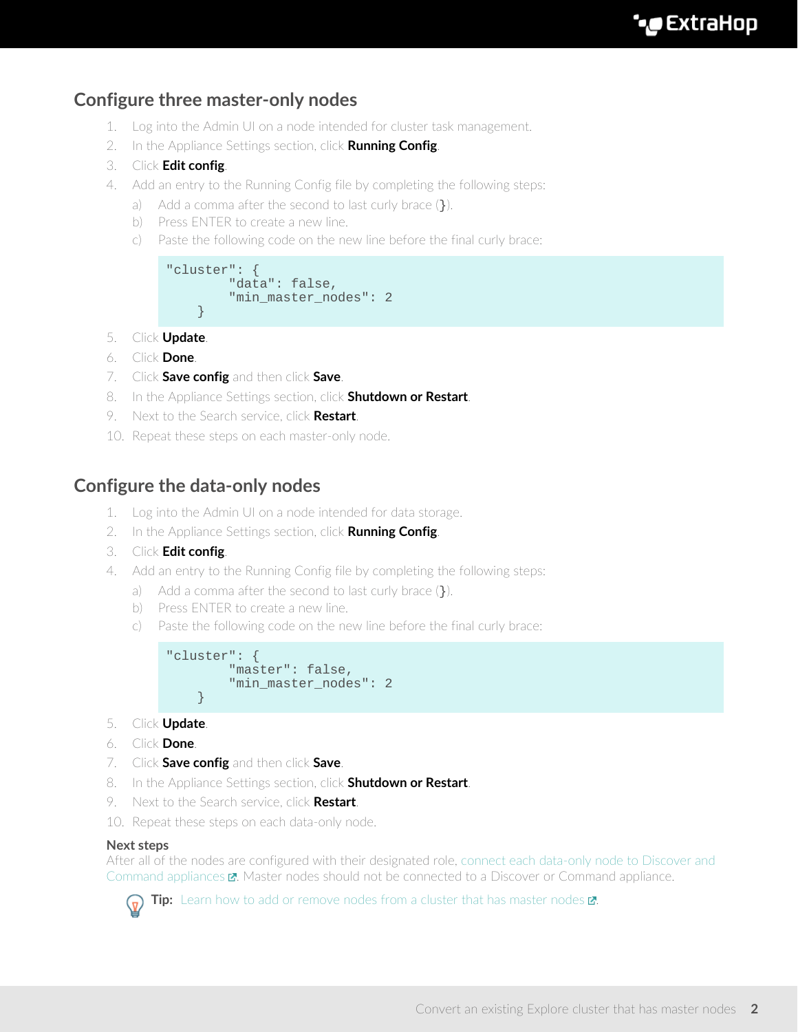## **Configure three master-only nodes**

- 1. Log into the Admin UI on a node intended for cluster task management.
- 2. In the Appliance Settings section, click **Running Config**.
- 3. Click **Edit config**.
- 4. Add an entry to the Running Config file by completing the following steps:
	- a) Add a comma after the second to last curly brace  $(\cdot)$ .
	- b) Press ENTER to create a new line.
	- c) Paste the following code on the new line before the final curly brace:

```
"cluster": {
   "data": false,
    "min_master_nodes": 2
}
```
- 5. Click **Update**.
- 6. Click **Done**.
- 7. Click **Save config** and then click **Save**.
- 8. In the Appliance Settings section, click **Shutdown or Restart**.
- 9. Next to the Search service, click **Restart**.
- 10. Repeat these steps on each master-only node.

### **Configure the data-only nodes**

- 1. Log into the Admin UI on a node intended for data storage.
- 2. In the Appliance Settings section, click **Running Config**.
- 3. Click **Edit config**.
- 4. Add an entry to the Running Config file by completing the following steps:
	- a) Add a comma after the second to last curly brace  $(\cdot)$ .
	- b) Press ENTER to create a new line.
	- c) Paste the following code on the new line before the final curly brace:

```
"cluster": {
   "master": false,
   "min master nodes": 2
}
```
- 5. Click **Update**.
- 6. Click **Done**.
- 7. Click **Save config** and then click **Save**.
- 8. In the Appliance Settings section, click **Shutdown or Restart**.
- 9. Next to the Search service, click **Restart**.
- 10. Repeat these steps on each data-only node.

#### **Next steps**

After all of the nodes are configured with their designated role, [connect each data-only node to Discover and](https://docs.extrahop.com/7.9/connect-eda-eca-exa) [Command appliances](https://docs.extrahop.com/7.9/connect-eda-eca-exa)  $\mathbb Z$ . Master nodes should not be connected to a Discover or Command appliance.



Tip: [Learn how to add or remove nodes from a cluster that has master nodes](https://docs.extrahop.com/7.9/exa-master-add-remove) **..**